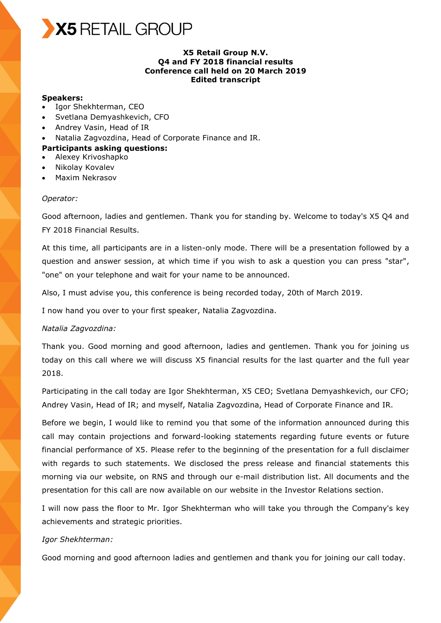

## **X5 Retail Group N.V. Q4 and FY 2018 financial results Conference call held on 20 March 2019 Edited transcript**

## **Speakers:**

- Igor Shekhterman, CEO
- Svetlana Demyashkevich, CFO
- Andrey Vasin, Head of IR
- Natalia Zagvozdina, Head of Corporate Finance and IR.

#### **Participants asking questions:**

- Alexey Krivoshapko
- Nikolay Kovalev
- Maxim Nekrasov

#### *Operator:*

Good afternoon, ladies and gentlemen. Thank you for standing by. Welcome to today's X5 Q4 and FY 2018 Financial Results.

At this time, all participants are in a listen-only mode. There will be a presentation followed by a question and answer session, at which time if you wish to ask a question you can press "star", "one" on your telephone and wait for your name to be announced.

Also, I must advise you, this conference is being recorded today, 20th of March 2019.

I now hand you over to your first speaker, Natalia Zagvozdina.

#### *Natalia Zagvozdina:*

Thank you. Good morning and good afternoon, ladies and gentlemen. Thank you for joining us today on this call where we will discuss X5 financial results for the last quarter and the full year 2018.

Participating in the call today are Igor Shekhterman, X5 CEO; Svetlana Demyashkevich, our CFO; Andrey Vasin, Head of IR; and myself, Natalia Zagvozdina, Head of Corporate Finance and IR.

Before we begin, I would like to remind you that some of the information announced during this call may contain projections and forward-looking statements regarding future events or future financial performance of X5. Please refer to the beginning of the presentation for a full disclaimer with regards to such statements. We disclosed the press release and financial statements this morning via our website, on RNS and through our e-mail distribution list. All documents and the presentation for this call are now available on our website in the Investor Relations section.

I will now pass the floor to Mr. Igor Shekhterman who will take you through the Company's key achievements and strategic priorities.

#### *Igor Shekhterman:*

Good morning and good afternoon ladies and gentlemen and thank you for joining our call today.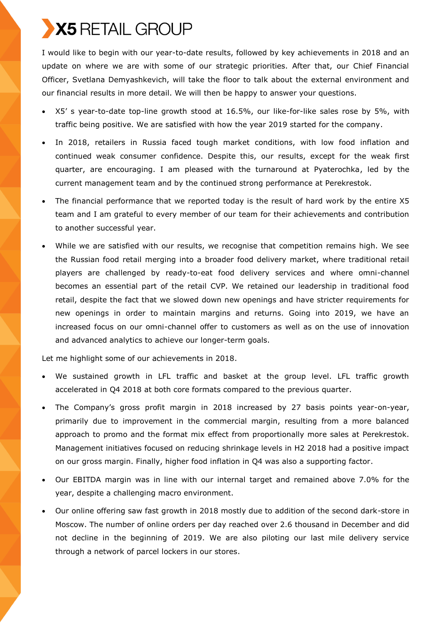I would like to begin with our year-to-date results, followed by key achievements in 2018 and an update on where we are with some of our strategic priorities. After that, our Chief Financial Officer, Svetlana Demyashkevich, will take the floor to talk about the external environment and our financial results in more detail. We will then be happy to answer your questions.

- X5' s year-to-date top-line growth stood at 16.5%, our like-for-like sales rose by 5%, with traffic being positive. We are satisfied with how the year 2019 started for the company.
- In 2018, retailers in Russia faced tough market conditions, with low food inflation and continued weak consumer confidence. Despite this, our results, except for the weak first quarter, are encouraging. I am pleased with the turnaround at Pyaterochka, led by the current management team and by the continued strong performance at Perekrestok.
- The financial performance that we reported today is the result of hard work by the entire X5 team and I am grateful to every member of our team for their achievements and contribution to another successful year.
- While we are satisfied with our results, we recognise that competition remains high. We see the Russian food retail merging into a broader food delivery market, where traditional retail players are challenged by ready-to-eat food delivery services and where omni-channel becomes an essential part of the retail CVP. We retained our leadership in traditional food retail, despite the fact that we slowed down new openings and have stricter requirements for new openings in order to maintain margins and returns. Going into 2019, we have an increased focus on our omni-channel offer to customers as well as on the use of innovation and advanced analytics to achieve our longer-term goals.

Let me highlight some of our achievements in 2018.

- We sustained growth in LFL traffic and basket at the group level. LFL traffic growth accelerated in Q4 2018 at both core formats compared to the previous quarter.
- The Company's gross profit margin in 2018 increased by 27 basis points year-on-year, primarily due to improvement in the commercial margin, resulting from a more balanced approach to promo and the format mix effect from proportionally more sales at Perekrestok. Management initiatives focused on reducing shrinkage levels in H2 2018 had a positive impact on our gross margin. Finally, higher food inflation in Q4 was also a supporting factor.
- Our EBITDA margin was in line with our internal target and remained above 7.0% for the year, despite a challenging macro environment.
- Our online offering saw fast growth in 2018 mostly due to addition of the second dark-store in Moscow. The number of online orders per day reached over 2.6 thousand in December and did not decline in the beginning of 2019. We are also piloting our last mile delivery service through a network of parcel lockers in our stores.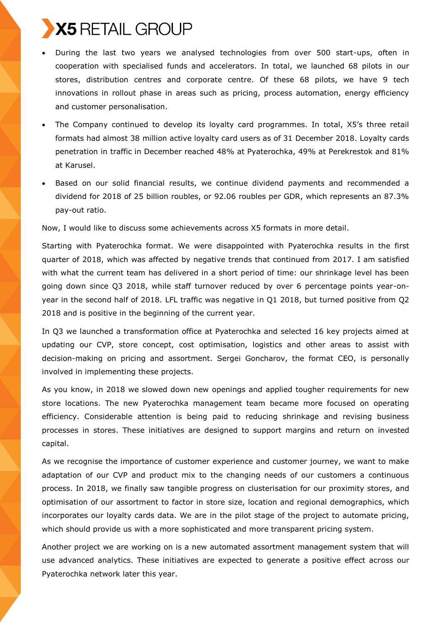- During the last two years we analysed technologies from over 500 start-ups, often in cooperation with specialised funds and accelerators. In total, we launched 68 pilots in our stores, distribution centres and сorporate сentre. Of these 68 pilots, we have 9 tech innovations in rollout phase in areas such as pricing, process automation, energy efficiency and customer personalisation.
- The Company continued to develop its loyalty card programmes. In total, X5's three retail formats had almost 38 million active loyalty card users as of 31 December 2018. Loyalty cards penetration in traffic in December reached 48% at Pyaterochka, 49% at Perekrestok and 81% at Karusel.
- Based on our solid financial results, we continue dividend payments and recommended a dividend for 2018 of 25 billion roubles, or 92.06 roubles per GDR, which represents an 87.3% pay-out ratio.

Now, I would like to discuss some achievements across X5 formats in more detail.

Starting with Pyaterochka format. We were disappointed with Pyaterochka results in the first quarter of 2018, which was affected by negative trends that continued from 2017. I am satisfied with what the current team has delivered in a short period of time: our shrinkage level has been going down since Q3 2018, while staff turnover reduced by over 6 percentage points year-onyear in the second half of 2018. LFL traffic was negative in Q1 2018, but turned positive from Q2 2018 and is positive in the beginning of the current year.

In Q3 we launched a transformation office at Pyaterochka and selected 16 key projects aimed at updating our CVP, store concept, cost optimisation, logistics and other areas to assist with decision-making on pricing and assortment. Sergei Goncharov, the format CEO, is personally involved in implementing these projects.

As you know, in 2018 we slowed down new openings and applied tougher requirements for new store locations. The new Pyaterochka management team became more focused on operating efficiency. Considerable attention is being paid to reducing shrinkage and revising business processes in stores. These initiatives are designed to support margins and return on invested capital.

As we recognise the importance of customer experience and customer journey, we want to make adaptation of our CVP and product mix to the changing needs of our customers a continuous process. In 2018, we finally saw tangible progress on clusterisation for our proximity stores, and optimisation of our assortment to factor in store size, location and regional demographics, which incorporates our loyalty cards data. We are in the pilot stage of the project to automate pricing, which should provide us with a more sophisticated and more transparent pricing system.

Another project we are working on is a new automated assortment management system that will use advanced analytics. These initiatives are expected to generate a positive effect across our Pyaterochka network later this year.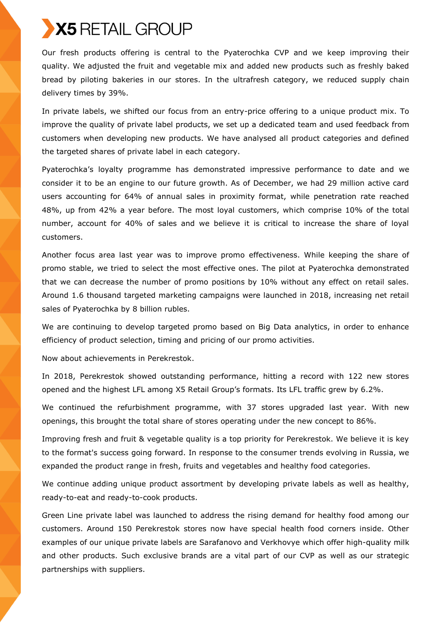Our fresh products offering is central to the Pyaterochka CVP and we keep improving their quality. We adjusted the fruit and vegetable mix and added new products such as freshly baked bread by piloting bakeries in our stores. In the ultrafresh category, we reduced supply chain delivery times by 39%.

In private labels, we shifted our focus from an entry-price offering to a unique product mix. To improve the quality of private label products, we set up a dedicated team and used feedback from customers when developing new products. We have analysed all product categories and defined the targeted shares of private label in each category.

Pyaterochka's loyalty programme has demonstrated impressive performance to date and we consider it to be an engine to our future growth. As of December, we had 29 million active card users accounting for 64% of annual sales in proximity format, while penetration rate reached 48%, up from 42% a year before. The most loyal customers, which comprise 10% of the total number, account for 40% of sales and we believe it is critical to increase the share of loyal customers.

Another focus area last year was to improve promo effectiveness. While keeping the share of promo stable, we tried to select the most effective ones. The pilot at Pyaterochka demonstrated that we can decrease the number of promo positions by 10% without any effect on retail sales. Around 1.6 thousand targeted marketing campaigns were launched in 2018, increasing net retail sales of Pyaterochka by 8 billion rubles.

We are continuing to develop targeted promo based on Big Data analytics, in order to enhance efficiency of product selection, timing and pricing of our promo activities.

Now about achievements in Perekrestok.

In 2018, Perekrestok showed outstanding performance, hitting a record with 122 new stores opened and the highest LFL among X5 Retail Group's formats. Its LFL traffic grew by 6.2%.

We continued the refurbishment programme, with 37 stores upgraded last year. With new openings, this brought the total share of stores operating under the new concept to 86%.

Improving fresh and fruit & vegetable quality is a top priority for Perekrestok. We believe it is key to the format's success going forward. In response to the consumer trends evolving in Russia, we expanded the product range in fresh, fruits and vegetables and healthy food categories.

We continue adding unique product assortment by developing private labels as well as healthy, ready-to-eat and ready-to-cook products.

Green Line private label was launched to address the rising demand for healthy food among our customers. Around 150 Perekrestok stores now have special health food corners inside. Other examples of our unique private labels are Sarafanovo and Verkhovye which offer high-quality milk and other products. Such exclusive brands are a vital part of our CVP as well as our strategic partnerships with suppliers.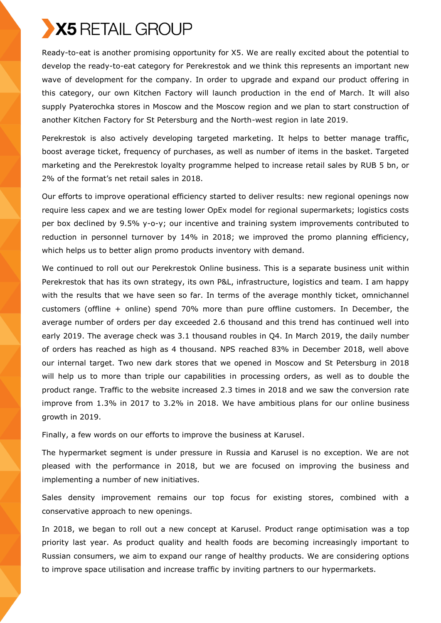Ready-to-eat is another promising opportunity for X5. We are really excited about the potential to develop the ready-to-eat category for Perekrestok and we think this represents an important new wave of development for the company. In order to upgrade and expand our product offering in this category, our own Kitchen Factory will launch production in the end of March. It will also supply Pyaterochka stores in Moscow and the Moscow region and we plan to start construction of another Kitchen Factory for St Petersburg and the North-west region in late 2019.

Perekrestok is also actively developing targeted marketing. It helps to better manage traffic, boost average ticket, frequency of purchases, as well as number of items in the basket. Targeted marketing and the Perekrestok loyalty programme helped to increase retail sales by RUB 5 bn, or 2% of the format's net retail sales in 2018.

Our efforts to improve operational efficiency started to deliver results: new regional openings now require less capex and we are testing lower OpEx model for regional supermarkets; logistics costs per box declined by 9.5% y-o-y; our incentive and training system improvements contributed to reduction in personnel turnover by 14% in 2018; we improved the promo planning efficiency, which helps us to better align promo products inventory with demand.

We continued to roll out our Perekrestok Online business. This is a separate business unit within Perekrestok that has its own strategy, its own P&L, infrastructure, logistics and team. I am happy with the results that we have seen so far. In terms of the average monthly ticket, omnichannel customers (offline + online) spend 70% more than pure offline customers. In December, the average number of orders per day exceeded 2.6 thousand and this trend has continued well into early 2019. The average check was 3.1 thousand roubles in Q4. In March 2019, the daily number of orders has reached as high as 4 thousand. NPS reached 83% in December 2018, well above our internal target. Two new dark stores that we opened in Moscow and St Petersburg in 2018 will help us to more than triple our capabilities in processing orders, as well as to double the product range. Traffic to the website increased 2.3 times in 2018 and we saw the conversion rate improve from 1.3% in 2017 to 3.2% in 2018. We have ambitious plans for our online business growth in 2019.

Finally, a few words on our efforts to improve the business at Karusel.

The hypermarket segment is under pressure in Russia and Karusel is no exception. We are not pleased with the performance in 2018, but we are focused on improving the business and implementing a number of new initiatives.

Sales density improvement remains our top focus for existing stores, combined with a conservative approach to new openings.

In 2018, we began to roll out a new concept at Karusel. Product range optimisation was a top priority last year. As product quality and health foods are becoming increasingly important to Russian consumers, we aim to expand our range of healthy products. We are considering options to improve space utilisation and increase traffic by inviting partners to our hypermarkets.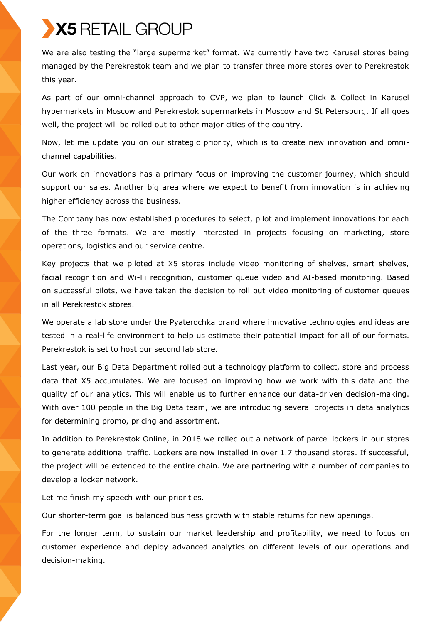We are also testing the "large supermarket" format. We currently have two Karusel stores being managed by the Perekrestok team and we plan to transfer three more stores over to Perekrestok this year.

As part of our omni-channel approach to CVP, we plan to launch Click & Collect in Karusel hypermarkets in Moscow and Perekrestok supermarkets in Moscow and St Petersburg. If all goes well, the project will be rolled out to other major cities of the country.

Now, let me update you on our strategic priority, which is to create new innovation and omnichannel capabilities.

Our work on innovations has a primary focus on improving the customer journey, which should support our sales. Another big area where we expect to benefit from innovation is in achieving higher efficiency across the business.

The Company has now established procedures to select, pilot and implement innovations for each of the three formats. We are mostly interested in projects focusing on marketing, store operations, logistics and our service centre.

Key projects that we piloted at X5 stores include video monitoring of shelves, smart shelves, facial recognition and Wi-Fi recognition, customer queue video and AI-based monitoring. Based on successful pilots, we have taken the decision to roll out video monitoring of customer queues in all Perekrestok stores.

We operate a lab store under the Pyaterochka brand where innovative technologies and ideas are tested in a real-life environment to help us estimate their potential impact for all of our formats. Perekrestok is set to host our second lab store.

Last year, our Big Data Department rolled out a technology platform to collect, store and process data that X5 accumulates. We are focused on improving how we work with this data and the quality of our analytics. This will enable us to further enhance our data-driven decision-making. With over 100 people in the Big Data team, we are introducing several projects in data analytics for determining promo, pricing and assortment.

In addition to Perekrestok Online, in 2018 we rolled out a network of parcel lockers in our stores to generate additional traffic. Lockers are now installed in over 1.7 thousand stores. If successful, the project will be extended to the entire chain. We are partnering with a number of companies to develop a locker network.

Let me finish my speech with our priorities.

Our shorter-term goal is balanced business growth with stable returns for new openings.

For the longer term, to sustain our market leadership and profitability, we need to focus on customer experience and deploy advanced analytics on different levels of our operations and decision-making.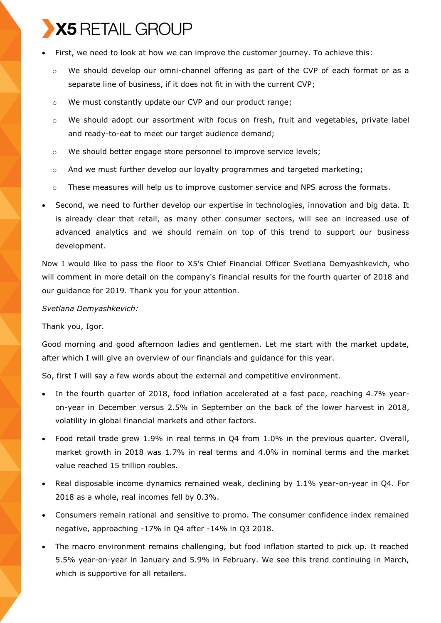- First, we need to look at how we can improve the customer journey. To achieve this:
	- $\circ$  We should develop our omni-channel offering as part of the CVP of each format or as a separate line of business, if it does not fit in with the current CVP;
	- o We must constantly update our CVP and our product range;
	- $\circ$  We should adopt our assortment with focus on fresh, fruit and vegetables, private label and ready-to-eat to meet our target audience demand;
	- $\circ$  We should better engage store personnel to improve service levels;
	- o And we must further develop our loyalty programmes and targeted marketing;
	- $\circ$  These measures will help us to improve customer service and NPS across the formats.
- Second, we need to further develop our expertise in technologies, innovation and big data. It is already clear that retail, as many other consumer sectors, will see an increased use of advanced analytics and we should remain on top of this trend to support our business development.

Now I would like to pass the floor to X5's Chief Financial Officer Svetlana Demyashkevich, who will comment in more detail on the company's financial results for the fourth quarter of 2018 and our guidance for 2019. Thank you for your attention.

### *Svetlana Demyashkevich:*

Thank you, Igor.

Good morning and good afternoon ladies and gentlemen. Let me start with the market update, after which I will give an overview of our financials and guidance for this year.

So, first I will say a few words about the external and competitive environment.

- In the fourth quarter of 2018, food inflation accelerated at a fast pace, reaching 4.7% yearon-year in December versus 2.5% in September on the back of the lower harvest in 2018, volatility in global financial markets and other factors.
- Food retail trade grew 1.9% in real terms in Q4 from 1.0% in the previous quarter. Overall, market growth in 2018 was 1.7% in real terms and 4.0% in nominal terms and the market value reached 15 trillion roubles.
- Real disposable income dynamics remained weak, declining by 1.1% year-on-year in Q4. For 2018 as a whole, real incomes fell by 0.3%.
- Consumers remain rational and sensitive to promo. The consumer confidence index remained negative, approaching -17% in Q4 after -14% in Q3 2018.
- The macro environment remains challenging, but food inflation started to pick up. It reached 5.5% year-on-year in January and 5.9% in February. We see this trend continuing in March, which is supportive for all retailers.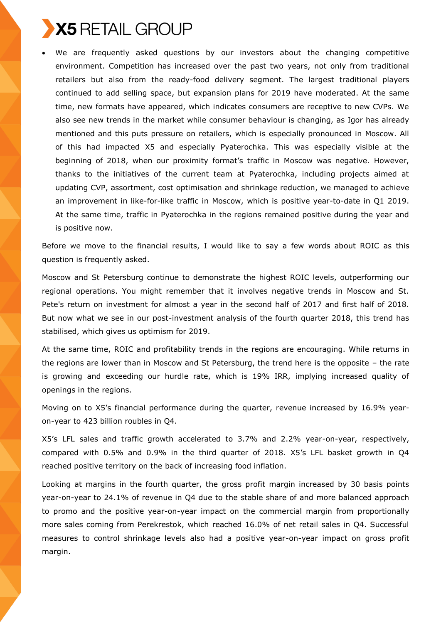

 We are frequently asked questions by our investors about the changing competitive environment. Competition has increased over the past two years, not only from traditional retailers but also from the ready-food delivery segment. The largest traditional players continued to add selling space, but expansion plans for 2019 have moderated. At the same time, new formats have appeared, which indicates consumers are receptive to new CVPs. We also see new trends in the market while consumer behaviour is changing, as Igor has already mentioned and this puts pressure on retailers, which is especially pronounced in Moscow. All of this had impacted X5 and especially Pyaterochka. This was especially visible at the beginning of 2018, when our proximity format's traffic in Moscow was negative. However, thanks to the initiatives of the current team at Pyaterochka, including projects aimed at updating CVP, assortment, cost optimisation and shrinkage reduction, we managed to achieve an improvement in like-for-like traffic in Moscow, which is positive year-to-date in Q1 2019. At the same time, traffic in Pyaterochka in the regions remained positive during the year and is positive now.

Before we move to the financial results, I would like to say a few words about ROIC as this question is frequently asked.

Moscow and St Petersburg continue to demonstrate the highest ROIC levels, outperforming our regional operations. You might remember that it involves negative trends in Moscow and St. Pete's return on investment for almost a year in the second half of 2017 and first half of 2018. But now what we see in our post-investment analysis of the fourth quarter 2018, this trend has stabilised, which gives us optimism for 2019.

At the same time, ROIC and profitability trends in the regions are encouraging. While returns in the regions are lower than in Moscow and St Petersburg, the trend here is the opposite – the rate is growing and exceeding our hurdle rate, which is 19% IRR, implying increased quality of openings in the regions.

Moving on to X5's financial performance during the quarter, revenue increased by 16.9% yearon-year to 423 billion roubles in Q4.

X5's LFL sales and traffic growth accelerated to 3.7% and 2.2% year-on-year, respectively, compared with 0.5% and 0.9% in the third quarter of 2018. X5's LFL basket growth in Q4 reached positive territory on the back of increasing food inflation.

Looking at margins in the fourth quarter, the gross profit margin increased by 30 basis points year-on-year to 24.1% of revenue in Q4 due to the stable share of and more balanced approach to promo and the positive year-on-year impact on the commercial margin from proportionally more sales coming from Perekrestok, which reached 16.0% of net retail sales in Q4. Successful measures to control shrinkage levels also had a positive year-on-year impact on gross profit margin.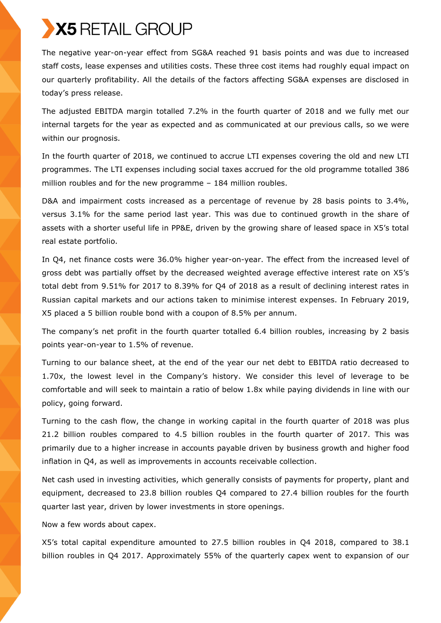The negative year-on-year effect from SG&A reached 91 basis points and was due to increased staff costs, lease expenses and utilities costs. These three cost items had roughly equal impact on our quarterly profitability. All the details of the factors affecting SG&A expenses are disclosed in today's press release.

The adjusted EBITDA margin totalled 7.2% in the fourth quarter of 2018 and we fully met our internal targets for the year as expected and as communicated at our previous calls, so we were within our prognosis.

In the fourth quarter of 2018, we continued to accrue LTI expenses covering the old and new LTI programmes. The LTI expenses including social taxes accrued for the old programme totalled 386 million roubles and for the new programme – 184 million roubles.

D&A and impairment costs increased as a percentage of revenue by 28 basis points to 3.4%, versus 3.1% for the same period last year. This was due to continued growth in the share of assets with a shorter useful life in PP&E, driven by the growing share of leased space in X5's total real estate portfolio.

In Q4, net finance costs were 36.0% higher year-on-year. The effect from the increased level of gross debt was partially offset by the decreased weighted average effective interest rate on X5's total debt from 9.51% for 2017 to 8.39% for Q4 of 2018 as a result of declining interest rates in Russian capital markets and our actions taken to minimise interest expenses. In February 2019, X5 placed a 5 billion rouble bond with a coupon of 8.5% per annum.

The company's net profit in the fourth quarter totalled 6.4 billion roubles, increasing by 2 basis points year-on-year to 1.5% of revenue.

Turning to our balance sheet, at the end of the year our net debt to EBITDA ratio decreased to 1.70x, the lowest level in the Company's history. We consider this level of leverage to be comfortable and will seek to maintain a ratio of below 1.8x while paying dividends in line with our policy, going forward.

Turning to the cash flow, the change in working capital in the fourth quarter of 2018 was plus 21.2 billion roubles compared to 4.5 billion roubles in the fourth quarter of 2017. This was primarily due to a higher increase in accounts payable driven by business growth and higher food inflation in Q4, as well as improvements in accounts receivable collection.

Net cash used in investing activities, which generally consists of payments for property, plant and equipment, decreased to 23.8 billion roubles Q4 compared to 27.4 billion roubles for the fourth quarter last year, driven by lower investments in store openings.

Now a few words about capex.

X5's total capital expenditure amounted to 27.5 billion roubles in Q4 2018, compared to 38.1 billion roubles in Q4 2017. Approximately 55% of the quarterly capex went to expansion of our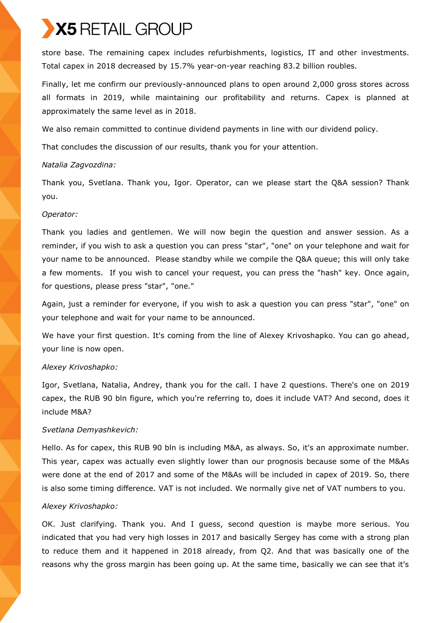store base. The remaining capex includes refurbishments, logistics, IT and other investments. Total capex in 2018 decreased by 15.7% year-on-year reaching 83.2 billion roubles.

Finally, let me confirm our previously-announced plans to open around 2,000 gross stores across all formats in 2019, while maintaining our profitability and returns. Capex is planned at approximately the same level as in 2018.

We also remain committed to continue dividend payments in line with our dividend policy.

That concludes the discussion of our results, thank you for your attention.

## *Natalia Zagvozdina:*

Thank you, Svetlana. Thank you, Igor. Operator, can we please start the Q&A session? Thank you.

## *Operator:*

Thank you ladies and gentlemen. We will now begin the question and answer session. As a reminder, if you wish to ask a question you can press "star", "one" on your telephone and wait for your name to be announced. Please standby while we compile the Q&A queue; this will only take a few moments. If you wish to cancel your request, you can press the "hash" key. Once again, for questions, please press "star", "one."

Again, just a reminder for everyone, if you wish to ask a question you can press "star", "one" on your telephone and wait for your name to be announced.

We have your first question. It's coming from the line of Alexey Krivoshapko. You can go ahead, your line is now open.

## *Alexey Krivoshapko:*

Igor, Svetlana, Natalia, Andrey, thank you for the call. I have 2 questions. There's one on 2019 capex, the RUB 90 bln figure, which you're referring to, does it include VAT? And second, does it include M&A?

## *Svetlana Demyashkevich:*

Hello. As for capex, this RUB 90 bln is including M&A, as always. So, it's an approximate number. This year, capex was actually even slightly lower than our prognosis because some of the M&As were done at the end of 2017 and some of the M&As will be included in capex of 2019. So, there is also some timing difference. VAT is not included. We normally give net of VAT numbers to you.

## *Alexey Krivoshapko:*

OK. Just clarifying. Thank you. And I guess, second question is maybe more serious. You indicated that you had very high losses in 2017 and basically Sergey has come with a strong plan to reduce them and it happened in 2018 already, from Q2. And that was basically one of the reasons why the gross margin has been going up. At the same time, basically we can see that it's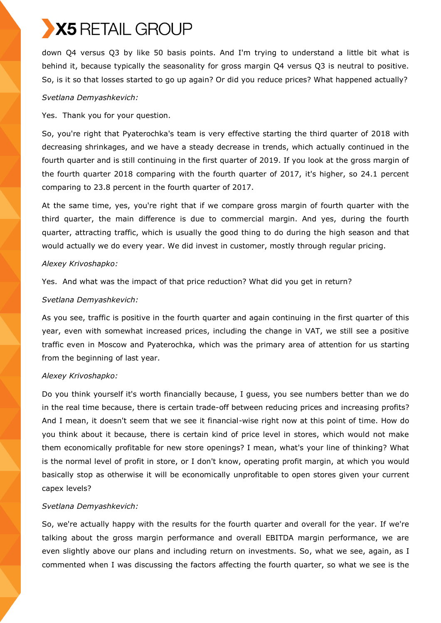down Q4 versus Q3 by like 50 basis points. And I'm trying to understand a little bit what is behind it, because typically the seasonality for gross margin Q4 versus Q3 is neutral to positive. So, is it so that losses started to go up again? Or did you reduce prices? What happened actually?

## *Svetlana Demyashkevich:*

Yes. Thank you for your question.

So, you're right that Pyaterochka's team is very effective starting the third quarter of 2018 with decreasing shrinkages, and we have a steady decrease in trends, which actually continued in the fourth quarter and is still continuing in the first quarter of 2019. If you look at the gross margin of the fourth quarter 2018 comparing with the fourth quarter of 2017, it's higher, so 24.1 percent comparing to 23.8 percent in the fourth quarter of 2017.

At the same time, yes, you're right that if we compare gross margin of fourth quarter with the third quarter, the main difference is due to commercial margin. And yes, during the fourth quarter, attracting traffic, which is usually the good thing to do during the high season and that would actually we do every year. We did invest in customer, mostly through regular pricing.

#### *Alexey Krivoshapko:*

Yes. And what was the impact of that price reduction? What did you get in return?

## *Svetlana Demyashkevich:*

As you see, traffic is positive in the fourth quarter and again continuing in the first quarter of this year, even with somewhat increased prices, including the change in VAT, we still see a positive traffic even in Moscow and Pyaterochka, which was the primary area of attention for us starting from the beginning of last year.

## *Alexey Krivoshapko:*

Do you think yourself it's worth financially because, I guess, you see numbers better than we do in the real time because, there is certain trade-off between reducing prices and increasing profits? And I mean, it doesn't seem that we see it financial-wise right now at this point of time. How do you think about it because, there is certain kind of price level in stores, which would not make them economically profitable for new store openings? I mean, what's your line of thinking? What is the normal level of profit in store, or I don't know, operating profit margin, at which you would basically stop as otherwise it will be economically unprofitable to open stores given your current capex levels?

## *Svetlana Demyashkevich:*

So, we're actually happy with the results for the fourth quarter and overall for the year. If we're talking about the gross margin performance and overall EBITDA margin performance, we are even slightly above our plans and including return on investments. So, what we see, again, as I commented when I was discussing the factors affecting the fourth quarter, so what we see is the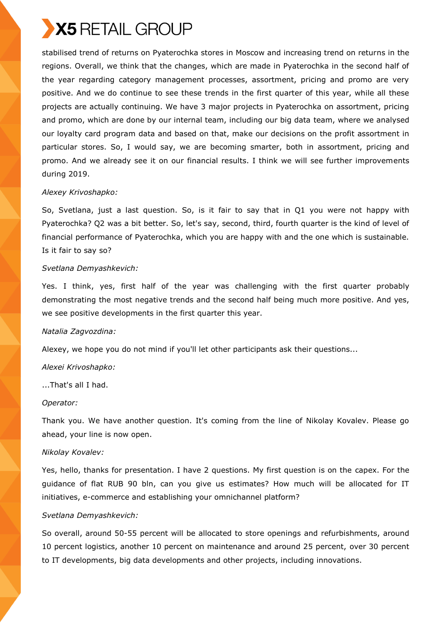

stabilised trend of returns on Pyaterochka stores in Moscow and increasing trend on returns in the regions. Overall, we think that the changes, which are made in Pyaterochka in the second half of the year regarding category management processes, assortment, pricing and promo are very positive. And we do continue to see these trends in the first quarter of this year, while all these projects are actually continuing. We have 3 major projects in Pyaterochka on assortment, pricing and promo, which are done by our internal team, including our big data team, where we analysed our loyalty card program data and based on that, make our decisions on the profit assortment in particular stores. So, I would say, we are becoming smarter, both in assortment, pricing and promo. And we already see it on our financial results. I think we will see further improvements during 2019.

#### *Alexey Krivoshapko:*

So, Svetlana, just a last question. So, is it fair to say that in Q1 you were not happy with Pyaterochka? Q2 was a bit better. So, let's say, second, third, fourth quarter is the kind of level of financial performance of Pyaterochka, which you are happy with and the one which is sustainable. Is it fair to say so?

#### *Svetlana Demyashkevich:*

Yes. I think, yes, first half of the year was challenging with the first quarter probably demonstrating the most negative trends and the second half being much more positive. And yes, we see positive developments in the first quarter this year.

#### *Natalia Zagvozdina:*

Alexey, we hope you do not mind if you'll let other participants ask their questions...

#### *Alexei Krivoshapko:*

...That's all I had.

#### *Operator:*

Thank you. We have another question. It's coming from the line of Nikolay Kovalev. Please go ahead, your line is now open.

#### *Nikolay Kovalev:*

Yes, hello, thanks for presentation. I have 2 questions. My first question is on the capex. For the guidance of flat RUB 90 bln, can you give us estimates? How much will be allocated for IT initiatives, e-commerce and establishing your omnichannel platform?

#### *Svetlana Demyashkevich:*

So overall, around 50-55 percent will be allocated to store openings and refurbishments, around 10 percent logistics, another 10 percent on maintenance and around 25 percent, over 30 percent to IT developments, big data developments and other projects, including innovations.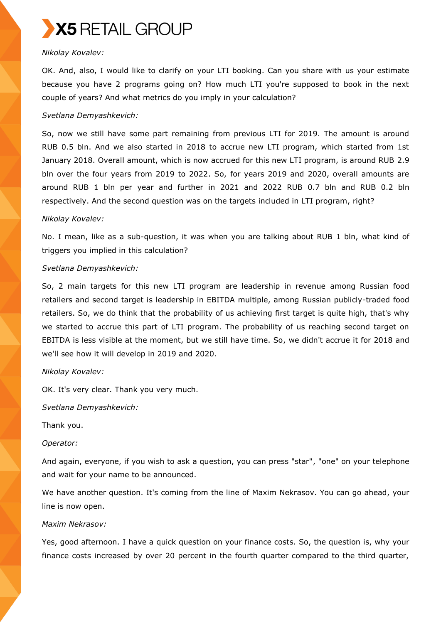

## *Nikolay Kovalev:*

OK. And, also, I would like to clarify on your LTI booking. Can you share with us your estimate because you have 2 programs going on? How much LTI you're supposed to book in the next couple of years? And what metrics do you imply in your calculation?

#### *Svetlana Demyashkevich:*

So, now we still have some part remaining from previous LTI for 2019. The amount is around RUB 0.5 bln. And we also started in 2018 to accrue new LTI program, which started from 1st January 2018. Overall amount, which is now accrued for this new LTI program, is around RUB 2.9 bln over the four years from 2019 to 2022. So, for years 2019 and 2020, overall amounts are around RUB 1 bln per year and further in 2021 and 2022 RUB 0.7 bln and RUB 0.2 bln respectively. And the second question was on the targets included in LTI program, right?

#### *Nikolay Kovalev:*

No. I mean, like as a sub-question, it was when you are talking about RUB 1 bln, what kind of triggers you implied in this calculation?

#### *Svetlana Demyashkevich:*

So, 2 main targets for this new LTI program are leadership in revenue among Russian food retailers and second target is leadership in EBITDA multiple, among Russian publicly-traded food retailers. So, we do think that the probability of us achieving first target is quite high, that's why we started to accrue this part of LTI program. The probability of us reaching second target on EBITDA is less visible at the moment, but we still have time. So, we didn't accrue it for 2018 and we'll see how it will develop in 2019 and 2020.

#### *Nikolay Kovalev:*

OK. It's very clear. Thank you very much.

*Svetlana Demyashkevich:*

Thank you.

#### *Operator:*

And again, everyone, if you wish to ask a question, you can press "star", "one" on your telephone and wait for your name to be announced.

We have another question. It's coming from the line of Maxim Nekrasov. You can go ahead, your line is now open.

#### *Maxim Nekrasov:*

Yes, good afternoon. I have a quick question on your finance costs. So, the question is, why your finance costs increased by over 20 percent in the fourth quarter compared to the third quarter,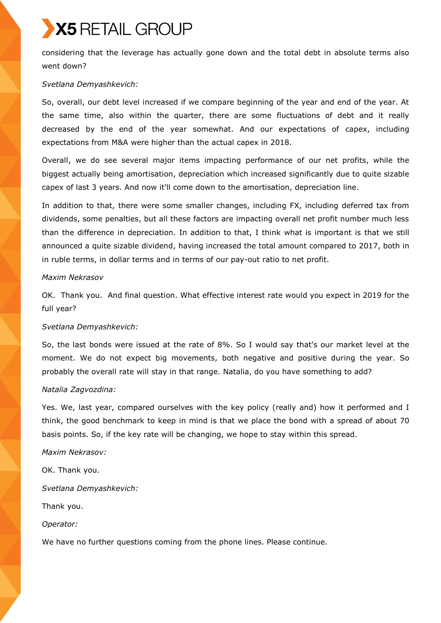considering that the leverage has actually gone down and the total debt in absolute terms also went down?

## *Svetlana Demyashkevich:*

So, overall, our debt level increased if we compare beginning of the year and end of the year. At the same time, also within the quarter, there are some fluctuations of debt and it really decreased by the end of the year somewhat. And our expectations of capex, including expectations from M&A were higher than the actual capex in 2018.

Overall, we do see several major items impacting performance of our net profits, while the biggest actually being amortisation, depreciation which increased significantly due to quite sizable capex of last 3 years. And now it'll come down to the amortisation, depreciation line.

In addition to that, there were some smaller changes, including FX, including deferred tax from dividends, some penalties, but all these factors are impacting overall net profit number much less than the difference in depreciation. In addition to that, I think what is important is that we still announced a quite sizable dividend, having increased the total amount compared to 2017, both in in ruble terms, in dollar terms and in terms of our pay-out ratio to net profit.

## *Maxim Nekrasov*

OK. Thank you. And final question. What effective interest rate would you expect in 2019 for the full year?

## *Svetlana Demyashkevich:*

So, the last bonds were issued at the rate of 8%. So I would say that's our market level at the moment. We do not expect big movements, both negative and positive during the year. So probably the overall rate will stay in that range. Natalia, do you have something to add?

## *Natalia Zagvozdina:*

Yes. We, last year, compared ourselves with the key policy (really and) how it performed and I think, the good benchmark to keep in mind is that we place the bond with a spread of about 70 basis points. So, if the key rate will be changing, we hope to stay within this spread.

## *Maxim Nekrasov:*

OK. Thank you.

*Svetlana Demyashkevich:*

Thank you.

*Operator:*

We have no further questions coming from the phone lines. Please continue.